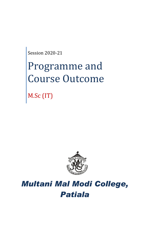Session 2020-21

# Programme and Course Outcome

M.Sc (IT)



# *Multani Mal Modi College, Patiala*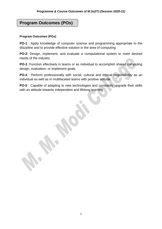## **Program Outcomes (POs)**

#### **Program Outcomes (POs)**

**PO-1** : Apply knowledge of computer science and programming appropriate to the discipline and to provide effective solution in the area of computing

**PO-2**: Design, implement, and evaluate a computational system to meet desired needs of the industry

**PO-3** :Function effectively in teams or as individual to accomplish shared computing design, evaluation, or implement goals.

**PO-4** : Perform professionally with social, cultural and ethical responsibility as an individual as well as in multifaceted teams with positive attitude

**PO-5** : Capable of adapting to new technologies and constantly upgrade their skills with an attitude towards independent and lifelong learning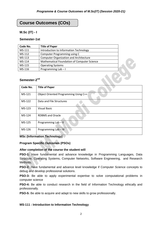## **Course Outcomes (COs)**

#### **M.Sc (IT) - I**

#### **Semester-1st**

| Code No.                 | <b>Title of Paper</b>                         |  |
|--------------------------|-----------------------------------------------|--|
| MS-111                   | Introduction to Information Technology        |  |
| MS-112                   | Computer Programming using C                  |  |
| MS-113                   | <b>Computer Organization and Architecture</b> |  |
| MS-114                   | Mathematical Foundation of Computer Science   |  |
| MS-115                   | <b>Operating Systems</b>                      |  |
| MS-116                   | Programming Lab-I                             |  |
| Semester-2 <sup>nd</sup> |                                               |  |
| Code No                  | Title of Paner                                |  |

#### Semester-2<sup>nd</sup>

| Code No. | <b>Title of Paper</b>                 |
|----------|---------------------------------------|
| MS-121   | Object Oriented Programming Using C++ |
| MS-122   | Data and File Structures              |
| MS-123   | <b>Visual Basic</b>                   |
| $MS-124$ | <b>RDBMS</b> and Oracle               |
| MS-125   | Programming Lab - II                  |
| MS-126   | Programming Lab - III                 |

#### **MSc (Information Technology)**

#### **Program Specific Outcomes (PSOs)**

#### **After completion of the course the student will**

**PSO-1:** Have fundamental and advance knowledge in Programming Languages, Data Structure, Operating Systems, Computer Networks, Software Engineering, and Research Methods.

**PSO-2:** Have fundamental and advance level knowledge if Computer Science concepts to debug and develop professional solutions.

**PSO-3:** Be able to apply experimental expertise to solve computational problems in computer science

**PSO-4:** Be able to conduct research in the field of Information Technology ethically and professionally.

**PSO-5:** Be able to acquire and adapt to new skills to grow professionally.

#### **MS-111 : Introduction to Information Technology**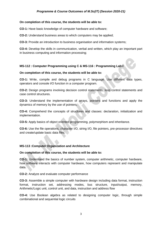#### **On completion of this course, the students will be able to:**

**CO-1:** Have basic knowledge of computer hardware and software;

**CO-2:** Understand business areas to which computers may be applied;

**CO-3:** Provide an introduction to business organisation and information systems;

**CO-4:** Develop the skills in communication, verbal and written, which play an important part in business computing and information processing;

#### **MS-112 : Computer Programming using C & MS-116 : Programming Lab-I**

#### **On completion of this course, the students will be able to:**

**CO-1:** Write, compile and debug programs in C language. Use different data types, operators and console I/O function in a computer program.

**CO-2:** Design programs involving decision control statements, loop control statements and case control structures.

**CO-3:** Understand the implementation of arrays, pointers and functions and apply the dynamics of memory by the use of pointers.

**CO-4:** Comprehend the concepts of structures and classes: declaration, initialization and implementation.

**CO-5:** Apply basics of object oriented programming, polymorphism and inheritance.

**CO-6:** Use the file operations, character I/O, string I/O, file pointers, pre-processor directives and create/update basic data files.

#### **MS-113 :Computer Organization and Architecture**

#### **On completion of this course, the students will be able to:**

**CO-1:** Understand the basics of number system, computer arithmetic, computer hardware, how software interacts with computer hardware, how computers represent and manipulate data.

**CO-2:** Analyze and evaluate computer performance

**CO-3:** Assemble a simple computer with hardware design including data format, instruction format, instruction set, addressing modes, bus structure, input/output, memory, Arithmetic/Logic unit, control unit, and data, instruction and address flow

**CO-4:** Use Boolean algebra as related to designing computer logic, through simple combinational and sequential logic circuits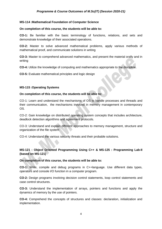#### **MS-114 :Mathematical Foundation of Computer Science**

#### **On completion of this course, the students will be able to:**

**CO-1:** Be familiar with the basic terminology of functions, relations, and sets and demonstrate knowledge of their associated operations.

**CO-2:** Master to solve advanced mathematical problems, apply various methods of mathematical proof, and communicate solutions in writing

**CO-3:** Master to comprehend advanced mathematics, and present the material orally and in writing

**CO-4:** Utilize the knowledge of computing and mathematics appropriate to the discipline.

**CO-5:** Evaluate mathematical principles and logic design

#### **MS-115 :Operating Systems**

#### **On completion of this course, the students will be able to:**

CO-1: Learn and understand the mechanisms of OS to handle processes and threads and their communication, the mechanisms involved in memory management in contemporary OS.

CO-2: Gain knowledge on distributed operating system concepts that includes architecture, deadlock detection algorithms and agreement protocols.

CO-3: Understand and explain different approaches to memory management, structure and organization of the file system

CO-4: Understand the various security threats and their probable solutions.

#### **MS-121 : Object Oriented Programming Using C++ & MS-125 : Programming Lab-II (based on MS-121)**

**On completion of this course, the students will be able to:**

**CO-1:** Write, compile and debug programs in C++language. Use different data types, operators and console I/O function in a computer program.

**CO-2:** Design programs involving decision control statements, loop control statements and case control structures.

**CO-3:** Understand the implementation of arrays, pointers and functions and apply the dynamics of memory by the use of pointers.

**CO-4:** Comprehend the concepts of structures and classes: declaration, initialization and implementation.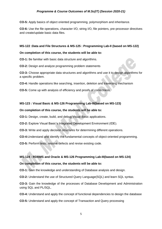**CO-5:** Apply basics of object oriented programming, polymorphism and inheritance.

**CO-6:** Use the file operations, character I/O, string I/O, file pointers, pre-processor directives and create/update basic data files.

#### **MS-122 :Data and File Structures & MS-125 : Programming Lab-II (based on MS-122)**

#### **On completion of this course, the students will be able to:**

**CO-1:** Be familiar with basic data structure and algorithms.

**CO-2:** Design and analyze programming problem statements

**CO-3:** Choose appropriate data structures and algorithms and use it to design algorithms for a specific problem.

**CO-4:** Handle operations like searching, insertion, deletion and traversing mechanism

**CO-5:** Come up with analysis of efficiency and proofs of correctness

#### **MS-123 : Visual Basic & MS-126 Programming Lab-III(based on MS-123)**

#### **On completion of this course, the students will be able to:**

**CO-1:** Design, create, build, and debug Visual Basic applications.

**CO-2:** Explore Visual Basic's Integrated Development Environment (IDE).

**CO-3:** Write and apply decision structures for determining different operations.

**CO-4:**Understand and identify the fundamental concepts of object-oriented programming.

**CO-5:** Perform tests, resolve defects and revise existing code.

#### **MS-124 : RDBMS and Oracle & MS-126 Programming Lab-III(based on MS-124)**

#### **On completion of this course, the students will be able to:**

**CO-1:** Gain the knowledge and understanding of Database analysis and design.

**CO-2:** Understand the use of Structured Query Language(SQL) and learn SQL syntax.

**CO-3:** Gain the knowledge of the processes of Database Development and Administration using SQL and PL/SQL.

**CO-4:** Understand and apply the concept of functional dependencies to design the database

**CO-5:** Understand and apply the concept of Transaction and Query processing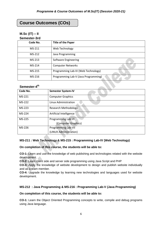# **Course Outcomes (COs)**

#### **M.Sc (IT) – II Semester-3rd**

| OCHICSLCI-JI U |                                      |  |
|----------------|--------------------------------------|--|
| Code No.       | <b>Title of the Paper</b>            |  |
| $MS-211$       | Web Technology                       |  |
| MS-212         | Java Programming                     |  |
| MS-213         | Software Engineering                 |  |
| MS-214         | <b>Computer Networks</b>             |  |
| MS-215         | Programming Lab-IV (Web Technology)  |  |
| MS-216         | Programming Lab-V (Java Programming) |  |

#### **Semester-4 th**

| Code No. | <b>Semester System-IV</b>   |
|----------|-----------------------------|
| MS-221   | <b>Computer Graphics</b>    |
| MS-222   | Linux Administration        |
| MS-223   | <b>Research Methodology</b> |
| MS-224   | Artificial Intelligence     |
| MS-225   | Programming Lab-VI          |
|          | (Computer Graphics)         |
| MS-226   | <b>Programming Lab-VII</b>  |
|          | (LINUX Administration)      |

#### **MS-211 : Web Technology & MS-215 : Programming Lab-IV (Web Technology)**

#### **On completion of this course, the students will be able to:**

**CO-1:** Learn and use the knowledge of web publishing and technologies related with the website development.

**CO-2:** Learn client side and server side programming using Java Script and PHP

**CO-3:** Apply the knowledge of website development to design and publish website individually and as a team member.

**CO-4:** Upgrade the knowledge by learning new technologies and languages used for website development.

#### **MS-212 : Java Programming & MS-216 : Programming Lab-V (Java Programming)**

#### **On completion of this course, the students will be able to:**

**CO-1:** Learn the Object Oriented Programming concepts to write, compile and debug programs using Java language.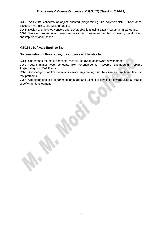**CO-2:** Apply the concepts of object oriented programming like polymorphism, inheritance, Exception Handling, and Multithreading.

**CO-3:** Design and develop console and GUI applications using Java Programming Language.

**CO-4:** Work on programming project as individual or as team member is design, development and implementation phase.

#### **MS-213 : Software Engineering**

#### **On completion of this course, the students will be able to:**

**CO-1:** Understand the basic concepts, models, life cycle of software development.

**CO-2:** Learn higher level concepts like Re-engineering, Reverse Engineering, Forward Engineering, and CASE tools.

**CO-3:** Knowledge of all the steps of software engineering and their use and implementation in real problems

**CO-4:** Understanding of programming language and using it to develop software using all stages of software development.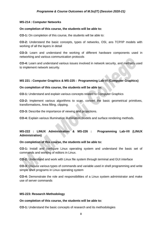#### **MS-214 : Computer Networks**

#### **On completion of this course, the students will be able to:**

**CO-1:** On completion of this course, the students will be able to:

**CO-2:** Understand the basic concepts, types of networks, OSI, ans TCP/IP models with working of all the layers in detail

**CO-3:** Learn and understand the working of different hardware components used in networking and various communication protocols

**CO-4:** Learn and understand various issues involved in network security, and methods used to implement network security.

#### **MS 221 : Computer Graphics & MS-225 : Programming Lab-VI (Computer Graphics)**

#### **On completion of this course, the students will be able to:**

**CO-1:** Understand and explain various concepts related to Computer Graphics

**CO-2:** Implement various algorithms to scan, convert the basic geometrical primitives, transformations, Area filling, clipping.

**CO-3:** Describe the importance of viewing and projections.

**CO-4:** Explain various Illumination illumination models and surface rendering methods.

#### **MS-222 : LINUX Administration & MS-226 : Programming Lab-VII (LINUX Administration)**

#### **On completion of this course, the students will be able to:**

**CO-1:** Install and configure Linux operating system and understand the basic set of commands and working of editors in Linux.

**CO-2:** Understand and work with Linux file system through terminal and GUI interface

**CO-3:** Discuss various types of commands and variable used in shell programming and write simple shell programs in Linux operating system

**CO-4:** Demonstrate the role and responsibilities of a Linux system administrator and make use of server commands

#### **MS-223: Research Methodology**

#### **On completion of this course, the students will be able to:**

**CO-1:** Understand the basic concepts of research and its methodologies